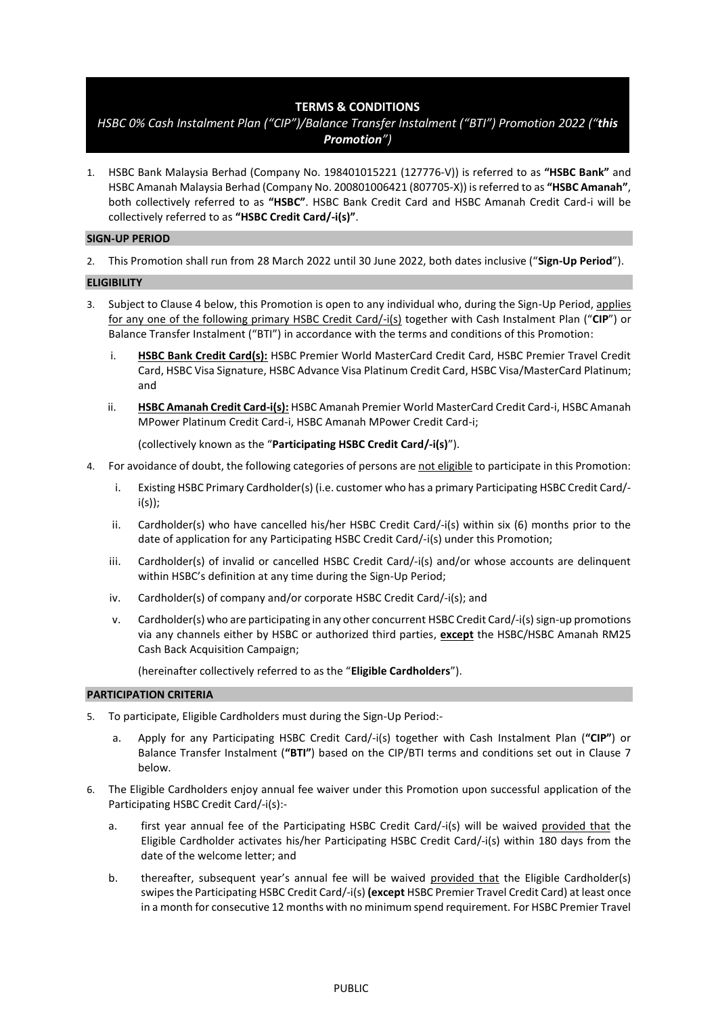## **TERMS & CONDITIONS**

# *HSBC 0% Cash Instalment Plan ("CIP")/Balance Transfer Instalment ("BTI") Promotion 2022 ("this Promotion")*

1. HSBC Bank Malaysia Berhad (Company No. 198401015221 (127776-V)) is referred to as **"HSBC Bank"** and HSBC Amanah Malaysia Berhad (Company No. 200801006421 (807705-X)) is referred to as **"HSBC Amanah"**, both collectively referred to as **"HSBC"**. HSBC Bank Credit Card and HSBC Amanah Credit Card-i will be collectively referred to as **"HSBC Credit Card/-i(s)"**.

## **SIGN-UP PERIOD**

2. This Promotion shall run from 28 March 2022 until 30 June 2022, both dates inclusive ("**Sign-Up Period**").

## **ELIGIBILITY**

- 3. Subject to Clause 4 below, this Promotion is open to any individual who, during the Sign-Up Period, applies for any one of the following primary HSBC Credit Card/-i(s) together with Cash Instalment Plan ("**CIP**") or Balance Transfer Instalment ("BTI") in accordance with the terms and conditions of this Promotion:
	- i. **HSBC Bank Credit Card(s):** HSBC Premier World MasterCard Credit Card, HSBC Premier Travel Credit Card, HSBC Visa Signature, HSBC Advance Visa Platinum Credit Card, HSBC Visa/MasterCard Platinum; and
	- ii. **HSBC Amanah Credit Card-i(s):** HSBC Amanah Premier World MasterCard Credit Card-i, HSBC Amanah MPower Platinum Credit Card-i, HSBC Amanah MPower Credit Card-i;

(collectively known as the "**Participating HSBC Credit Card/-i(s)**").

- 4. For avoidance of doubt, the following categories of persons are not eligible to participate in this Promotion:
	- i. Existing HSBC Primary Cardholder(s) (i.e. customer who has a primary Participating HSBC Credit Card/ i(s));
	- ii. Cardholder(s) who have cancelled his/her HSBC Credit Card/-i(s) within six (6) months prior to the date of application for any Participating HSBC Credit Card/-i(s) under this Promotion;
	- iii. Cardholder(s) of invalid or cancelled HSBC Credit Card/-i(s) and/or whose accounts are delinquent within HSBC's definition at any time during the Sign-Up Period;
	- iv. Cardholder(s) of company and/or corporate HSBC Credit Card/-i(s); and
	- v. Cardholder(s) who are participating in any other concurrent HSBC Credit Card/-i(s) sign-up promotions via any channels either by HSBC or authorized third parties, **except** the HSBC/HSBC Amanah RM25 Cash Back Acquisition Campaign;

(hereinafter collectively referred to as the "**Eligible Cardholders**").

## **PARTICIPATION CRITERIA**

- 5. To participate, Eligible Cardholders must during the Sign-Up Period:
	- a. Apply for any Participating HSBC Credit Card/-i(s) together with Cash Instalment Plan (**"CIP"**) or Balance Transfer Instalment (**"BTI"**) based on the CIP/BTI terms and conditions set out in Clause 7 below.
- 6. The Eligible Cardholders enjoy annual fee waiver under this Promotion upon successful application of the Participating HSBC Credit Card/-i(s):
	- a. first year annual fee of the Participating HSBC Credit Card/-i(s) will be waived provided that the Eligible Cardholder activates his/her Participating HSBC Credit Card/-i(s) within 180 days from the date of the welcome letter; and
	- b. thereafter, subsequent year's annual fee will be waived provided that the Eligible Cardholder(s) swipes the Participating HSBC Credit Card/-i(s) **(except** HSBC Premier Travel Credit Card) at least once in a month for consecutive 12 months with no minimum spend requirement. For HSBC Premier Travel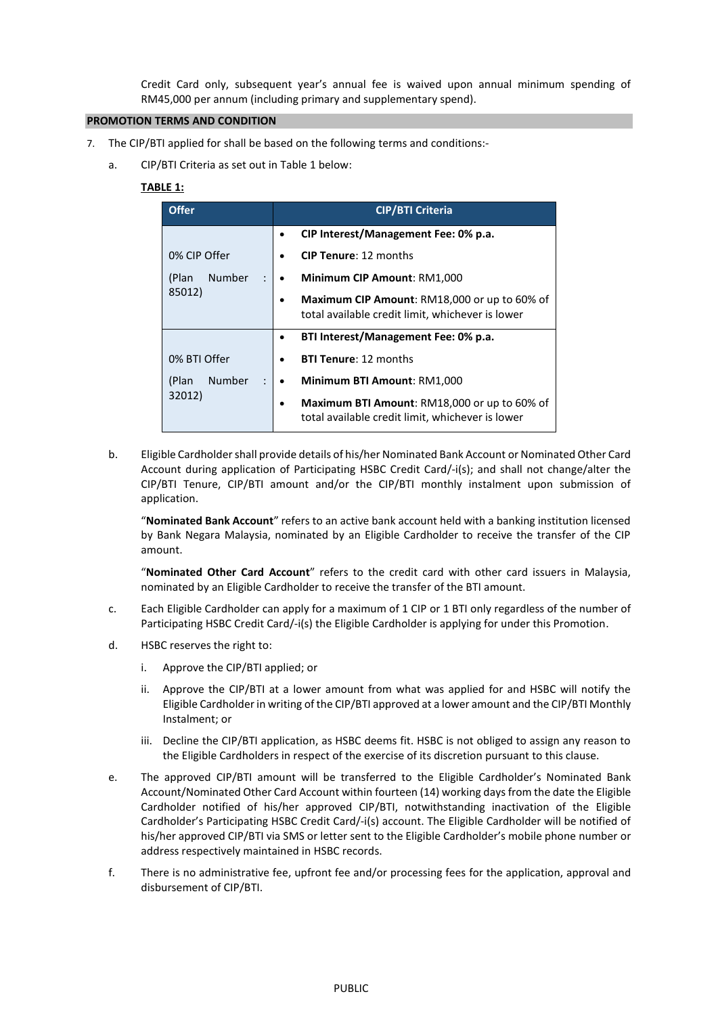Credit Card only, subsequent year's annual fee is waived upon annual minimum spending of RM45,000 per annum (including primary and supplementary spend).

## **PROMOTION TERMS AND CONDITION**

- 7. The CIP/BTI applied for shall be based on the following terms and conditions:
	- a. CIP/BTI Criteria as set out in Table 1 below:

## **TABLE 1:**

| <b>Offer</b>           | <b>CIP/BTI Criteria</b>                                                                          |
|------------------------|--------------------------------------------------------------------------------------------------|
|                        | CIP Interest/Management Fee: 0% p.a.<br>$\bullet$                                                |
| 0% CIP Offer           | <b>CIP Tenure: 12 months</b>                                                                     |
| <b>Number</b><br>(Plan | Minimum CIP Amount: RM1,000                                                                      |
| 85012)                 | Maximum CIP Amount: RM18,000 or up to 60% of<br>total available credit limit, whichever is lower |
|                        | BTI Interest/Management Fee: 0% p.a.<br>٠                                                        |
| 0% BTI Offer           | <b>BTI Tenure: 12 months</b>                                                                     |
| <b>Number</b><br>(Plan | Minimum BTI Amount: RM1,000<br>$\bullet$                                                         |
| 32012)                 | Maximum BTI Amount: RM18,000 or up to 60% of<br>total available credit limit, whichever is lower |

b. Eligible Cardholder shall provide details of his/her Nominated Bank Account or Nominated Other Card Account during application of Participating HSBC Credit Card/-i(s); and shall not change/alter the CIP/BTI Tenure, CIP/BTI amount and/or the CIP/BTI monthly instalment upon submission of application.

"**Nominated Bank Account**" refers to an active bank account held with a banking institution licensed by Bank Negara Malaysia, nominated by an Eligible Cardholder to receive the transfer of the CIP amount.

"**Nominated Other Card Account**" refers to the credit card with other card issuers in Malaysia, nominated by an Eligible Cardholder to receive the transfer of the BTI amount.

- c. Each Eligible Cardholder can apply for a maximum of 1 CIP or 1 BTI only regardless of the number of Participating HSBC Credit Card/-i(s) the Eligible Cardholder is applying for under this Promotion.
- d. HSBC reserves the right to:
	- i. Approve the CIP/BTI applied; or
	- ii. Approve the CIP/BTI at a lower amount from what was applied for and HSBC will notify the Eligible Cardholder in writing of the CIP/BTI approved at a lower amount and the CIP/BTI Monthly Instalment; or
	- iii. Decline the CIP/BTI application, as HSBC deems fit. HSBC is not obliged to assign any reason to the Eligible Cardholders in respect of the exercise of its discretion pursuant to this clause.
- e. The approved CIP/BTI amount will be transferred to the Eligible Cardholder's Nominated Bank Account/Nominated Other Card Account within fourteen (14) working days from the date the Eligible Cardholder notified of his/her approved CIP/BTI, notwithstanding inactivation of the Eligible Cardholder's Participating HSBC Credit Card/-i(s) account. The Eligible Cardholder will be notified of his/her approved CIP/BTI via SMS or letter sent to the Eligible Cardholder's mobile phone number or address respectively maintained in HSBC records.
- f. There is no administrative fee, upfront fee and/or processing fees for the application, approval and disbursement of CIP/BTI.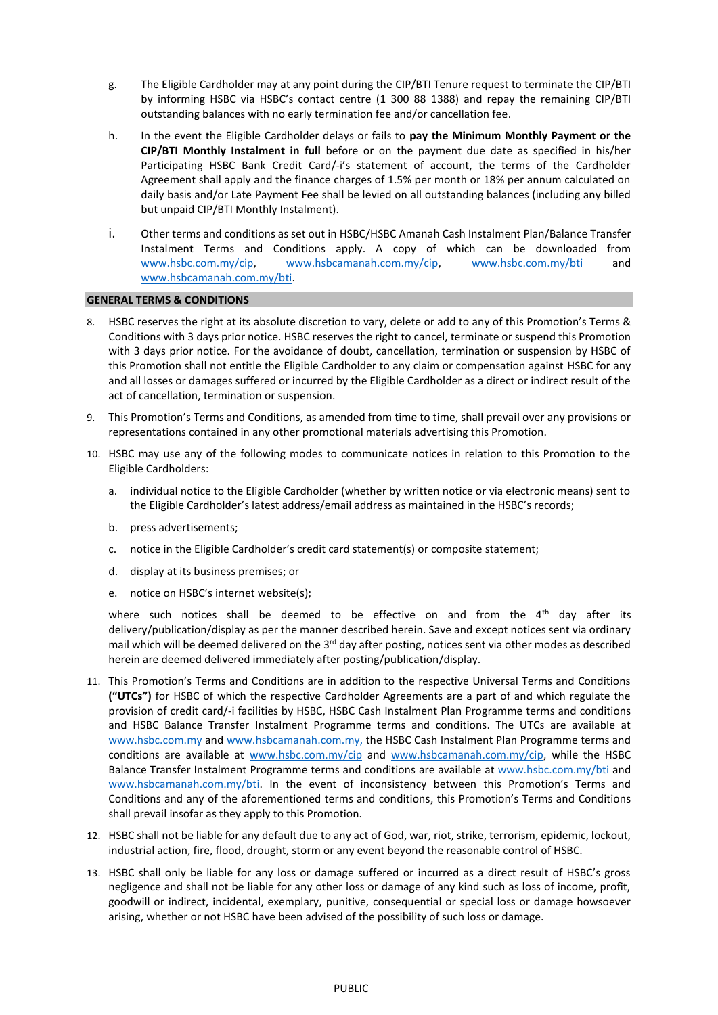- g. The Eligible Cardholder may at any point during the CIP/BTI Tenure request to terminate the CIP/BTI by informing HSBC via HSBC's contact centre (1 300 88 1388) and repay the remaining CIP/BTI outstanding balances with no early termination fee and/or cancellation fee.
- h. In the event the Eligible Cardholder delays or fails to **pay the Minimum Monthly Payment or the CIP/BTI Monthly Instalment in full** before or on the payment due date as specified in his/her Participating HSBC Bank Credit Card/-i's statement of account, the terms of the Cardholder Agreement shall apply and the finance charges of 1.5% per month or 18% per annum calculated on daily basis and/or Late Payment Fee shall be levied on all outstanding balances (including any billed but unpaid CIP/BTI Monthly Instalment).
- i. Other terms and conditions as set out in HSBC/HSBC Amanah Cash Instalment Plan/Balance Transfer Instalment Terms and Conditions apply. A copy of which can be downloaded from [www.hsbc.com.my/cip,](http://www.hsbc.com.my/cip) [www.hsbcamanah.com.my/cip,](http://www.hsbcamanah.com.my/cip) [www.hsbc.com.my/bti](http://www.hsbc.com.my/bti) and [www.hsbcamanah.com.my/bti.](http://www.hsbcamanah.com.my/bti)

## **GENERAL TERMS & CONDITIONS**

- 8. HSBC reserves the right at its absolute discretion to vary, delete or add to any of this Promotion's Terms & Conditions with 3 days prior notice. HSBC reserves the right to cancel, terminate or suspend this Promotion with 3 days prior notice. For the avoidance of doubt, cancellation, termination or suspension by HSBC of this Promotion shall not entitle the Eligible Cardholder to any claim or compensation against HSBC for any and all losses or damages suffered or incurred by the Eligible Cardholder as a direct or indirect result of the act of cancellation, termination or suspension.
- 9. This Promotion's Terms and Conditions, as amended from time to time, shall prevail over any provisions or representations contained in any other promotional materials advertising this Promotion.
- 10. HSBC may use any of the following modes to communicate notices in relation to this Promotion to the Eligible Cardholders:
	- a. individual notice to the Eligible Cardholder (whether by written notice or via electronic means) sent to the Eligible Cardholder's latest address/email address as maintained in the HSBC's records;
	- b. press advertisements;
	- c. notice in the Eligible Cardholder's credit card statement(s) or composite statement;
	- d. display at its business premises; or
	- e. notice on HSBC's internet website(s);

where such notices shall be deemed to be effective on and from the  $4<sup>th</sup>$  day after its delivery/publication/display as per the manner described herein. Save and except notices sent via ordinary mail which will be deemed delivered on the 3<sup>rd</sup> day after posting, notices sent via other modes as described herein are deemed delivered immediately after posting/publication/display.

- 11. This Promotion's Terms and Conditions are in addition to the respective Universal Terms and Conditions **("UTCs")** for HSBC of which the respective Cardholder Agreements are a part of and which regulate the provision of credit card/-i facilities by HSBC, HSBC Cash Instalment Plan Programme terms and conditions and HSBC Balance Transfer Instalment Programme terms and conditions. The UTCs are available at [www.hsbc.com.my](http://www.hsbc.com.my/) and [www.hsbcamanah.com.my,](http://www.hsbcamanah.com.my/) the HSBC Cash Instalment Plan Programme terms and conditions are available at [www.hsbc.com.my/cip](http://www.hsbc.com.my/cip) and [www.hsbcamanah.com.my/cip,](http://www.hsbcamanah.com.my/cip) while the HSBC Balance Transfer Instalment Programme terms and conditions are available at [www.hsbc.com.my/bti](http://www.hsbc.com.my/bt) and [www.hsbcamanah.com.my/bti](http://www.hsbcamanah.com.my/bt). In the event of inconsistency between this Promotion's Terms and Conditions and any of the aforementioned terms and conditions, this Promotion's Terms and Conditions shall prevail insofar as they apply to this Promotion.
- 12. HSBC shall not be liable for any default due to any act of God, war, riot, strike, terrorism, epidemic, lockout, industrial action, fire, flood, drought, storm or any event beyond the reasonable control of HSBC.
- 13. HSBC shall only be liable for any loss or damage suffered or incurred as a direct result of HSBC's gross negligence and shall not be liable for any other loss or damage of any kind such as loss of income, profit, goodwill or indirect, incidental, exemplary, punitive, consequential or special loss or damage howsoever arising, whether or not HSBC have been advised of the possibility of such loss or damage.